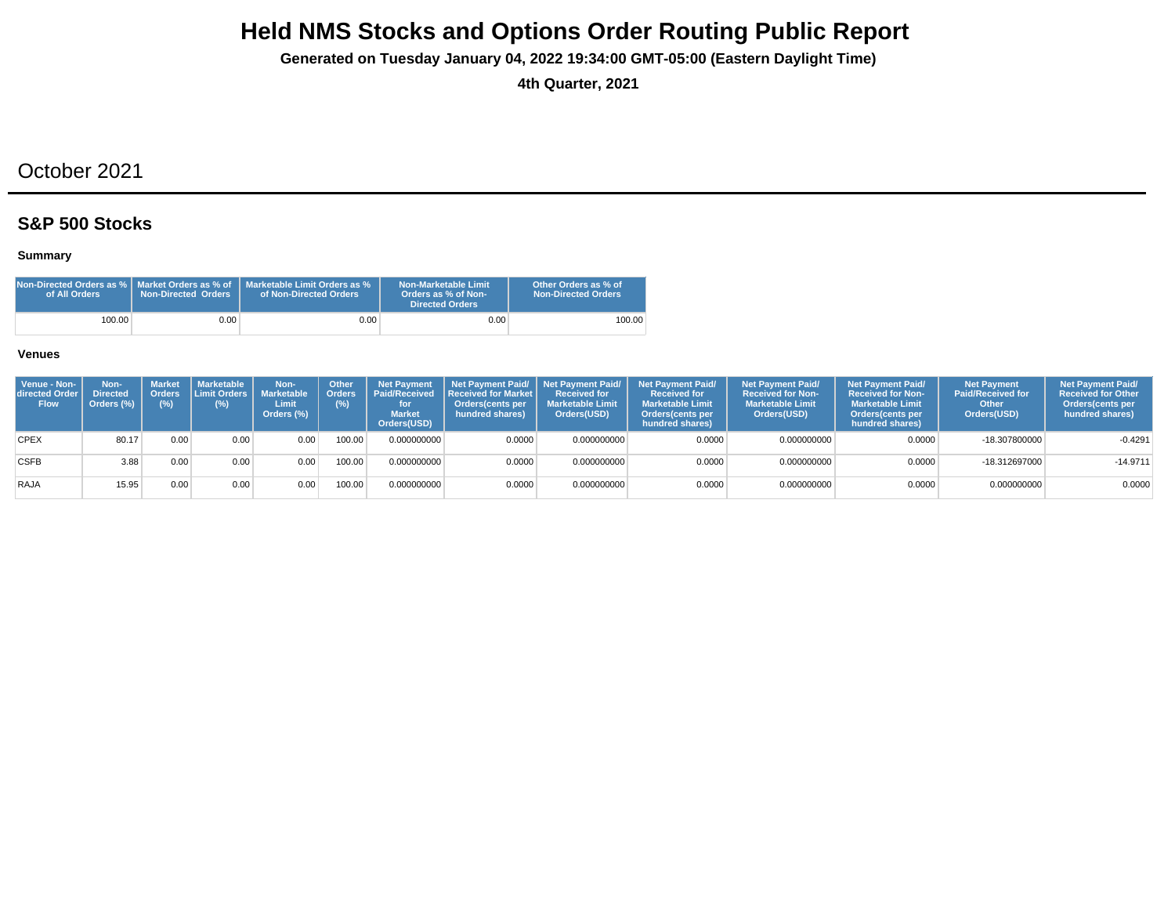**Generated on Tuesday January 04, 2022 19:34:00 GMT-05:00 (Eastern Daylight Time)**

**4th Quarter, 2021**

## October 2021

## **S&P 500 Stocks**

### **Summary**

| Non-Directed Orders as %   Market Orders as % of<br>of All Orders | <b>Non-Directed Orders</b> | Marketable Limit Orders as %<br>of Non-Directed Orders | Non-Marketable Limit<br>Orders as % of Non-<br><b>Directed Orders</b> | Other Orders as % of<br><b>Non-Directed Orders</b> |
|-------------------------------------------------------------------|----------------------------|--------------------------------------------------------|-----------------------------------------------------------------------|----------------------------------------------------|
| 100.00                                                            | 0.001                      | 0.001                                                  | 0.00                                                                  | 100.00                                             |

| Venue - Non-<br>directed Order<br><b>Flow</b> | Non-<br><b>Directed</b><br>Orders (%) | <b>Market</b><br><b>Orders</b><br>(%) | <b>Marketable</b><br>  Limit Orders   Marketable  <br>(%) | Non-<br>Limit<br>Orders (%) | <b>Other</b><br><b>Orders</b><br>(%) | <b>Net Payment</b><br>for<br><b>Market</b><br>Orders(USD) | Net Payment Paid/<br><b>Paid/Received Received for Market I</b><br>Orders(cents per<br>hundred shares) | Net Payment Paid/<br><b>Received for</b><br><b>Marketable Limit</b><br>Orders(USD) | <b>Net Payment Paid/</b><br><b>Received for</b><br><b>Marketable Limit</b><br><b>Orders</b> (cents per<br>hundred shares) | <b>Net Payment Paid/</b><br><b>Received for Non-</b><br><b>Marketable Limit</b><br>Orders(USD) | <b>Net Payment Paid/</b><br><b>Received for Non-</b><br><b>Marketable Limit</b><br>Orders (cents per<br>hundred shares) | <b>Net Payment</b><br><b>Paid/Received for</b><br><b>Other</b><br>Orders(USD) | <b>Net Payment Paid/</b><br><b>Received for Other</b><br><b>Orders</b> (cents per<br>hundred shares) |
|-----------------------------------------------|---------------------------------------|---------------------------------------|-----------------------------------------------------------|-----------------------------|--------------------------------------|-----------------------------------------------------------|--------------------------------------------------------------------------------------------------------|------------------------------------------------------------------------------------|---------------------------------------------------------------------------------------------------------------------------|------------------------------------------------------------------------------------------------|-------------------------------------------------------------------------------------------------------------------------|-------------------------------------------------------------------------------|------------------------------------------------------------------------------------------------------|
| <b>CPEX</b>                                   | 80.17                                 | 0.00                                  | 0.00                                                      | 0.00                        | 100.00                               | 0.000000000                                               | 0.0000                                                                                                 | 0.000000000                                                                        | 0.0000                                                                                                                    | 0.000000000                                                                                    | 0.0000                                                                                                                  | -18.307800000                                                                 | $-0.4291$                                                                                            |
| <b>CSFB</b>                                   | 3.88                                  | 0.00 <sub>1</sub>                     | 0.00                                                      | 0.00                        | 100.00                               | 0.000000000                                               | 0.0000                                                                                                 | 0.000000000                                                                        | 0.0000                                                                                                                    | 0.000000000                                                                                    | 0.0000                                                                                                                  | -18.312697000                                                                 | $-14.9711$                                                                                           |
| RAJA                                          | 15.95                                 | 0.00 <sub>1</sub>                     | 0.00                                                      | 0.00                        | 100.00                               | 0.000000000                                               | 0.0000                                                                                                 | 0.000000000                                                                        | 0.0000                                                                                                                    | 0.000000000                                                                                    | 0.0000                                                                                                                  | 0.000000000                                                                   | 0.0000                                                                                               |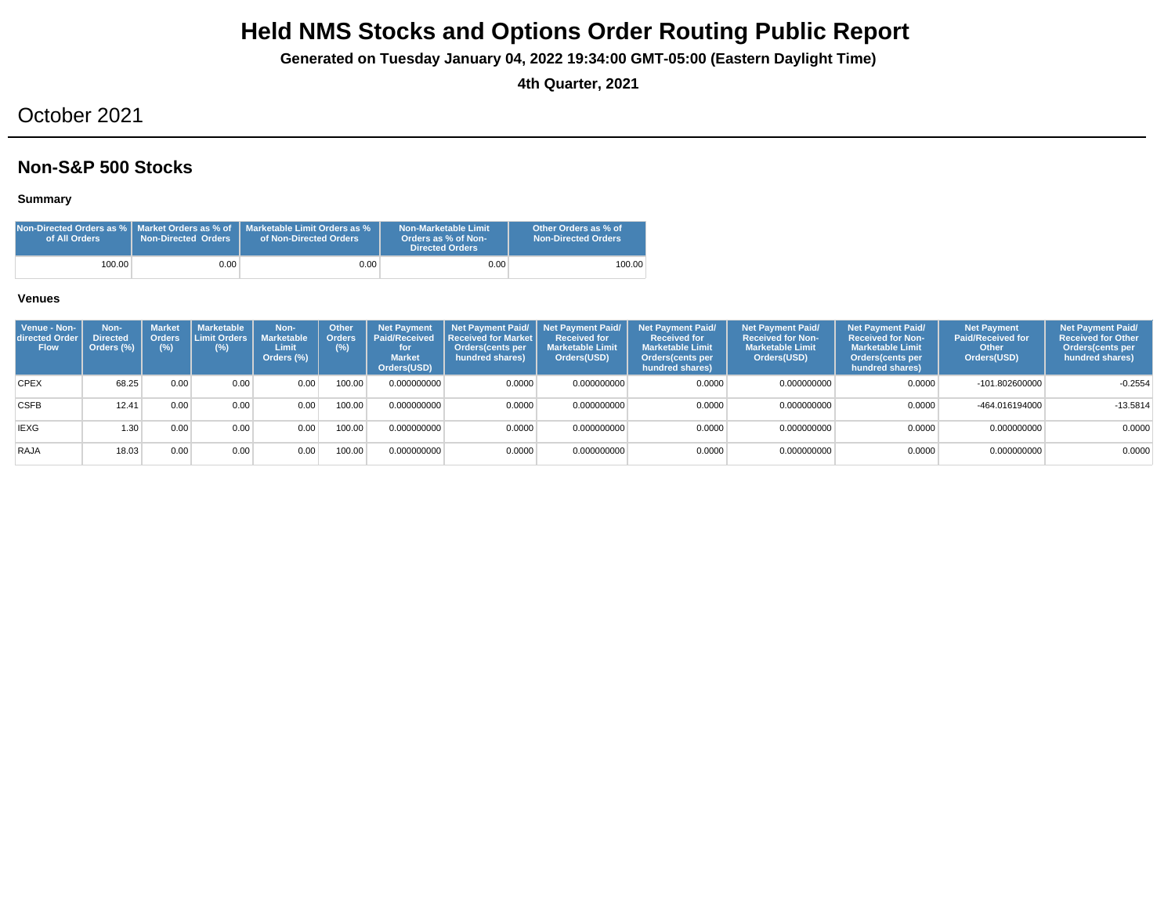**Generated on Tuesday January 04, 2022 19:34:00 GMT-05:00 (Eastern Daylight Time)**

**4th Quarter, 2021**

## October 2021

## **Non-S&P 500 Stocks**

### **Summary**

| of All Orders | <b>Non-Directed Orders</b> | Non-Directed Orders as % L Market Orders as % of L Marketable Limit Orders as %<br>of Non-Directed Orders | Non-Marketable Limit<br>Orders as % of Non-<br><b>Directed Orders</b> | Other Orders as % of<br><b>Non-Directed Orders</b> |
|---------------|----------------------------|-----------------------------------------------------------------------------------------------------------|-----------------------------------------------------------------------|----------------------------------------------------|
| 100.00        | 0.00                       | 0.00 <sub>1</sub>                                                                                         | 0.00                                                                  | 100.00                                             |

| Venue - Non-<br>directed Order<br><b>Flow</b> | Non-<br><b>Directed</b><br>Orders (%) | <b>Market</b><br><b>Orders</b><br>$(\%)$ | <b>Marketable</b><br>Limit Orders<br>$(\%)$ | Non-<br><b>Marketable</b><br>Limit<br>Orders (%) | Other<br><b>Orders</b><br>(%) | <b>Net Payment</b><br><b>Paid/Received</b><br>for<br><b>Market</b><br>Orders(USD) | l Received for Market l<br>Orders(cents per<br>hundred shares) | Net Payment Paid/ Net Payment Paid/<br><b>Received for</b><br><b>Marketable Limit</b><br>Orders(USD) | <b>Net Payment Paid/</b><br><b>Received for</b><br><b>Marketable Limit</b><br>Orders(cents per<br>hundred shares) | <b>Net Payment Paid/</b><br><b>Received for Non-</b><br><b>Marketable Limit</b><br>Orders(USD) | <b>Net Payment Paid/</b><br><b>Received for Non-</b><br><b>Marketable Limit</b><br><b>Orders</b> (cents per<br>hundred shares) | <b>Net Payment</b><br><b>Paid/Received for</b><br><b>Other</b><br>Orders(USD) | <b>Net Payment Paid/</b><br><b>Received for Other</b><br>Orders(cents per<br>hundred shares) |
|-----------------------------------------------|---------------------------------------|------------------------------------------|---------------------------------------------|--------------------------------------------------|-------------------------------|-----------------------------------------------------------------------------------|----------------------------------------------------------------|------------------------------------------------------------------------------------------------------|-------------------------------------------------------------------------------------------------------------------|------------------------------------------------------------------------------------------------|--------------------------------------------------------------------------------------------------------------------------------|-------------------------------------------------------------------------------|----------------------------------------------------------------------------------------------|
| <b>CPEX</b>                                   | 68.25                                 | 0.00                                     | 0.00                                        | 0.00                                             | 100.00                        | 0.000000000                                                                       | 0.0000                                                         | 0.000000000                                                                                          | 0.0000                                                                                                            | 0.000000000                                                                                    | 0.0000                                                                                                                         | $-101.802600000$                                                              | $-0.2554$                                                                                    |
| <b>CSFB</b>                                   | 12.41                                 | 0.00                                     | 0.00                                        | 0.00                                             | 100.00                        | 0.000000000                                                                       | 0.0000                                                         | 0.000000000                                                                                          | 0.0000                                                                                                            | 0.000000000                                                                                    | 0.0000                                                                                                                         | $-464.016194000$                                                              | $-13.5814$                                                                                   |
| <b>IEXG</b>                                   | 1.30                                  | 0.00                                     | 0.00                                        | 0.00                                             | 100.00                        | 0.000000000                                                                       | 0.0000                                                         | 0.000000000                                                                                          | 0.0000                                                                                                            | 0.000000000                                                                                    | 0.0000                                                                                                                         | 0.000000000                                                                   | 0.0000                                                                                       |
| RAJA                                          | 18.03                                 | 0.00                                     | 0.00                                        | 0.00                                             | 100.00                        | 0.000000000                                                                       | 0.0000                                                         | 0.000000000                                                                                          | 0.0000                                                                                                            | 0.000000000                                                                                    | 0.0000                                                                                                                         | 0.000000000                                                                   | 0.0000                                                                                       |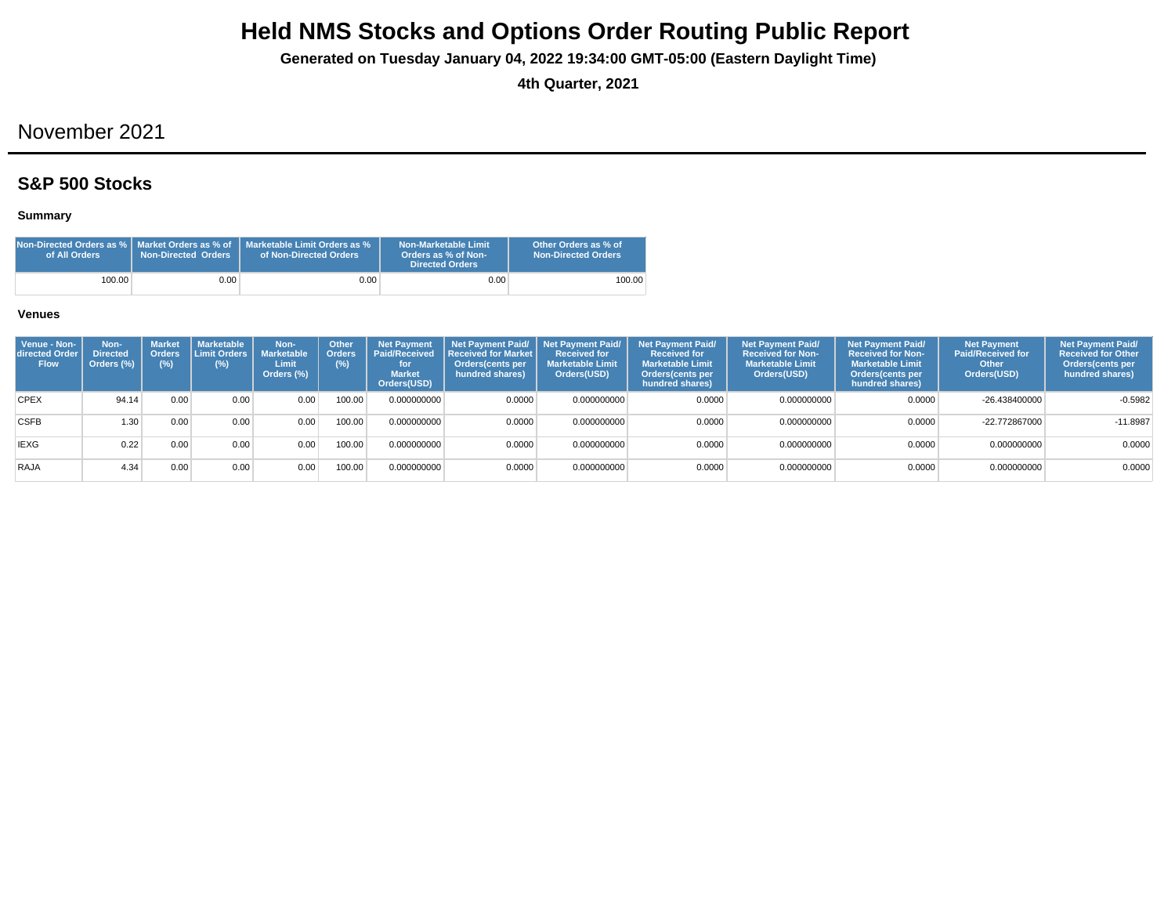**Generated on Tuesday January 04, 2022 19:34:00 GMT-05:00 (Eastern Daylight Time)**

**4th Quarter, 2021**

## November 2021

## **S&P 500 Stocks**

### **Summary**

| Non-Directed Orders as %   Market Orders as % of<br>of All Orders | Non-Directed Orders | Marketable Limit Orders as %<br>of Non-Directed Orders | Non-Marketable Limit<br>Orders as % of Non-<br><b>Directed Orders</b> | Other Orders as % of<br><b>Non-Directed Orders</b> |
|-------------------------------------------------------------------|---------------------|--------------------------------------------------------|-----------------------------------------------------------------------|----------------------------------------------------|
| 100.00                                                            | 0.00                | 0.00 <sub>1</sub>                                      | 0.00                                                                  | 100.00                                             |

| Venue - Non-<br>directed Order<br><b>Flow</b> | Non-<br><b>Directed</b><br>Orders (%) | <b>Market</b><br><b>Orders</b><br>$(\%)$ | <b>Marketable</b><br>Limit Orders L<br>(%) | Non-<br><b>Marketable</b><br>Limit<br>Orders (%) | <b>Other</b><br><b>Orders</b><br>(% ) | <b>Net Payment</b><br><b>Paid/Received</b><br>for<br><b>Market</b><br>Orders(USD) | Net Payment Paid/ Net Payment Paid/<br>Received for Market<br>Orders(cents per<br>hundred shares) | <b>Received for</b><br><b>Marketable Limit</b><br>Orders(USD) | <b>Net Payment Paid/</b><br><b>Received for</b><br><b>Marketable Limit</b><br>Orders(cents per<br>hundred shares) | <b>Net Payment Paid/</b><br><b>Received for Non-</b><br><b>Marketable Limit</b><br>Orders(USD) | <b>Net Payment Paid/</b><br><b>Received for Non-</b><br><b>Marketable Limit</b><br>Orders(cents per<br>hundred shares) | <b>Net Payment</b><br><b>Paid/Received for</b><br><b>Other</b><br>Orders(USD) | <b>Net Payment Paid/</b><br><b>Received for Other</b><br>Orders(cents per<br>hundred shares) |
|-----------------------------------------------|---------------------------------------|------------------------------------------|--------------------------------------------|--------------------------------------------------|---------------------------------------|-----------------------------------------------------------------------------------|---------------------------------------------------------------------------------------------------|---------------------------------------------------------------|-------------------------------------------------------------------------------------------------------------------|------------------------------------------------------------------------------------------------|------------------------------------------------------------------------------------------------------------------------|-------------------------------------------------------------------------------|----------------------------------------------------------------------------------------------|
| <b>CPEX</b>                                   | 94.14                                 | 0.00                                     | 0.00                                       | 0.00                                             | 100.00                                | 0.000000000                                                                       | 0.0000                                                                                            | 0.000000000                                                   | 0.0000                                                                                                            | 0.000000000                                                                                    | 0.0000                                                                                                                 | $-26.438400000$                                                               | $-0.5982$                                                                                    |
| <b>CSFB</b>                                   | 1.30                                  | 0.00                                     | 0.00                                       | 0.00                                             | 100.00                                | 0.000000000                                                                       | 0.0000                                                                                            | 0.000000000                                                   | 0.0000                                                                                                            | 0.000000000                                                                                    | 0.0000                                                                                                                 | -22.772867000                                                                 | $-11.8987$                                                                                   |
| <b>IEXG</b>                                   | 0.22                                  | 0.00                                     | 0.00                                       | 0.00                                             | 100.00                                | 0.000000000                                                                       | 0.0000                                                                                            | 0.000000000                                                   | 0.0000                                                                                                            | 0.000000000                                                                                    | 0.0000                                                                                                                 | 0.000000000                                                                   | 0.0000                                                                                       |
| RAJA                                          | 4.34                                  | 0.00                                     | 0.00                                       | 0.00                                             | 00.00                                 | 0.000000000                                                                       | 0.0000                                                                                            | 0.000000000                                                   | 0.0000                                                                                                            | 0.000000000                                                                                    | 0.0000                                                                                                                 | 0.000000000                                                                   | 0.0000                                                                                       |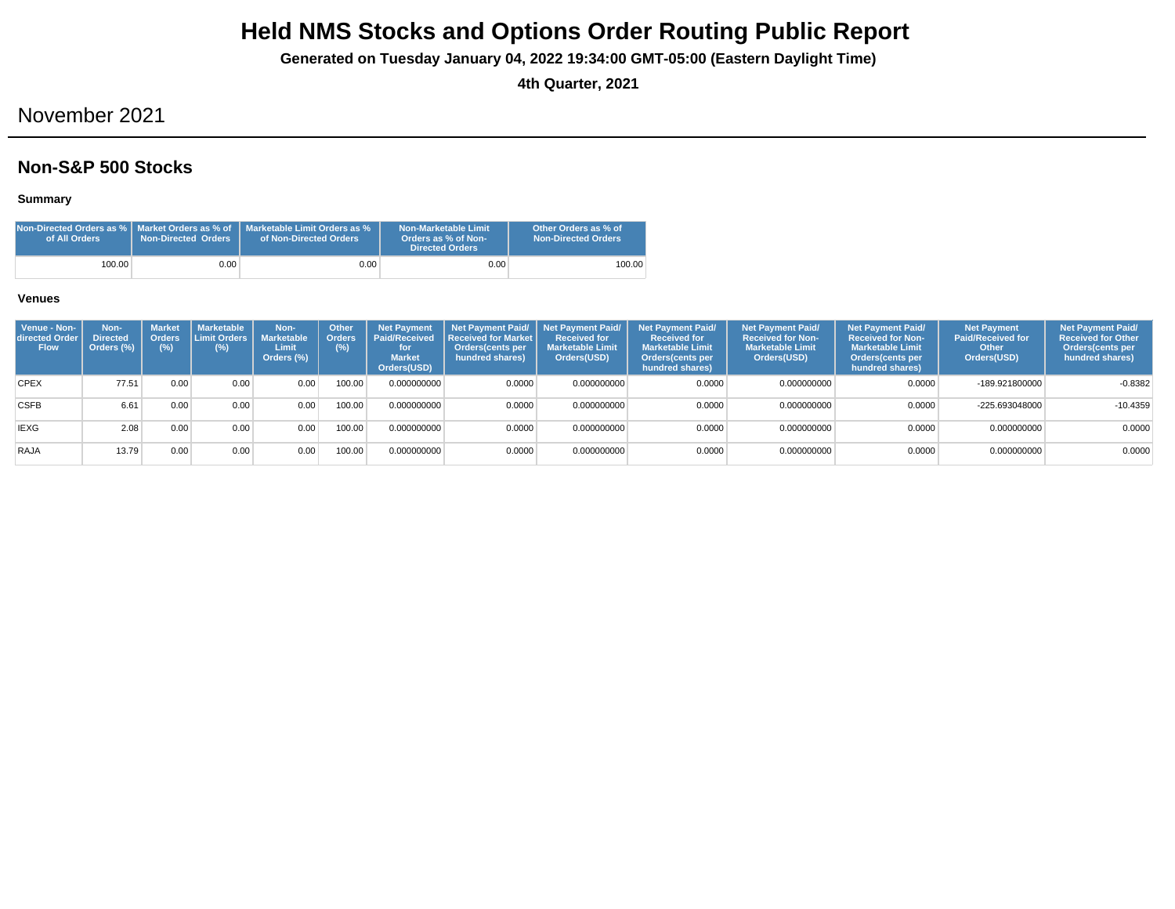**Generated on Tuesday January 04, 2022 19:34:00 GMT-05:00 (Eastern Daylight Time)**

**4th Quarter, 2021**

## November 2021

### **Non-S&P 500 Stocks**

**Summary**

| Non-Directed Orders as %   Market Orders as % of<br>of All Orders | Non-Directed Orders | Marketable Limit Orders as %<br>of Non-Directed Orders | Non-Marketable Limit<br>Orders as % of Non-<br>Directed Orders | Other Orders as % of<br><b>Non-Directed Orders</b> |
|-------------------------------------------------------------------|---------------------|--------------------------------------------------------|----------------------------------------------------------------|----------------------------------------------------|
| 100.00                                                            | 0.00                | 0.00 <sub>1</sub>                                      | 0.00                                                           | 100.00                                             |

| Venue - Non-<br>directed Order<br><b>Flow</b> | Non-<br><b>Directed</b><br>Orders (%) | <b>Market</b><br><b>Orders</b><br>$(\%)$ | <b>Marketable</b><br>Limit Orders<br>$(\%)$ | Non-<br><b>Marketable</b><br>Limit<br>Orders (%) | Other<br><b>Orders</b><br>(%) | <b>Net Payment</b><br><b>Paid/Received</b><br>for<br><b>Market</b><br>Orders(USD) | l Received for Market l<br>Orders(cents per<br>hundred shares) | Net Payment Paid/ Net Payment Paid/<br><b>Received for</b><br><b>Marketable Limit</b><br>Orders(USD) | <b>Net Payment Paid/</b><br><b>Received for</b><br><b>Marketable Limit</b><br>Orders(cents per<br>hundred shares) | <b>Net Payment Paid/</b><br><b>Received for Non-</b><br><b>Marketable Limit</b><br>Orders(USD) | <b>Net Payment Paid/</b><br><b>Received for Non-</b><br><b>Marketable Limit</b><br><b>Orders</b> (cents per<br>hundred shares) | <b>Net Payment</b><br><b>Paid/Received for</b><br><b>Other</b><br>Orders(USD) | <b>Net Payment Paid/</b><br><b>Received for Other</b><br>Orders(cents per<br>hundred shares) |
|-----------------------------------------------|---------------------------------------|------------------------------------------|---------------------------------------------|--------------------------------------------------|-------------------------------|-----------------------------------------------------------------------------------|----------------------------------------------------------------|------------------------------------------------------------------------------------------------------|-------------------------------------------------------------------------------------------------------------------|------------------------------------------------------------------------------------------------|--------------------------------------------------------------------------------------------------------------------------------|-------------------------------------------------------------------------------|----------------------------------------------------------------------------------------------|
| <b>CPEX</b>                                   | 77.51                                 | 0.00                                     | 0.00                                        | 0.00                                             | 100.00                        | 0.000000000                                                                       | 0.0000                                                         | 0.000000000                                                                                          | 0.0000                                                                                                            | 0.000000000                                                                                    | 0.0000                                                                                                                         | $-189.921800000$                                                              | $-0.8382$                                                                                    |
| <b>CSFB</b>                                   | 6.61                                  | 0.00                                     | 0.00                                        | 0.00                                             | 100.00                        | 0.000000000                                                                       | 0.0000                                                         | 0.000000000                                                                                          | 0.0000                                                                                                            | 0.000000000                                                                                    | 0.0000                                                                                                                         | $-225.693048000$                                                              | $-10.4359$                                                                                   |
| <b>IEXG</b>                                   | 2.08                                  | 0.00                                     | 0.00                                        | 0.00                                             | 100.00                        | 0.000000000                                                                       | 0.0000                                                         | 0.000000000                                                                                          | 0.0000                                                                                                            | 0.000000000                                                                                    | 0.0000                                                                                                                         | 0.000000000                                                                   | 0.0000                                                                                       |
| RAJA                                          | 13.79                                 | 0.00                                     | 0.00                                        | 0.00                                             | 100.00                        | 0.000000000                                                                       | 0.0000                                                         | 0.000000000                                                                                          | 0.0000                                                                                                            | 0.000000000                                                                                    | 0.0000                                                                                                                         | 0.000000000                                                                   | 0.0000                                                                                       |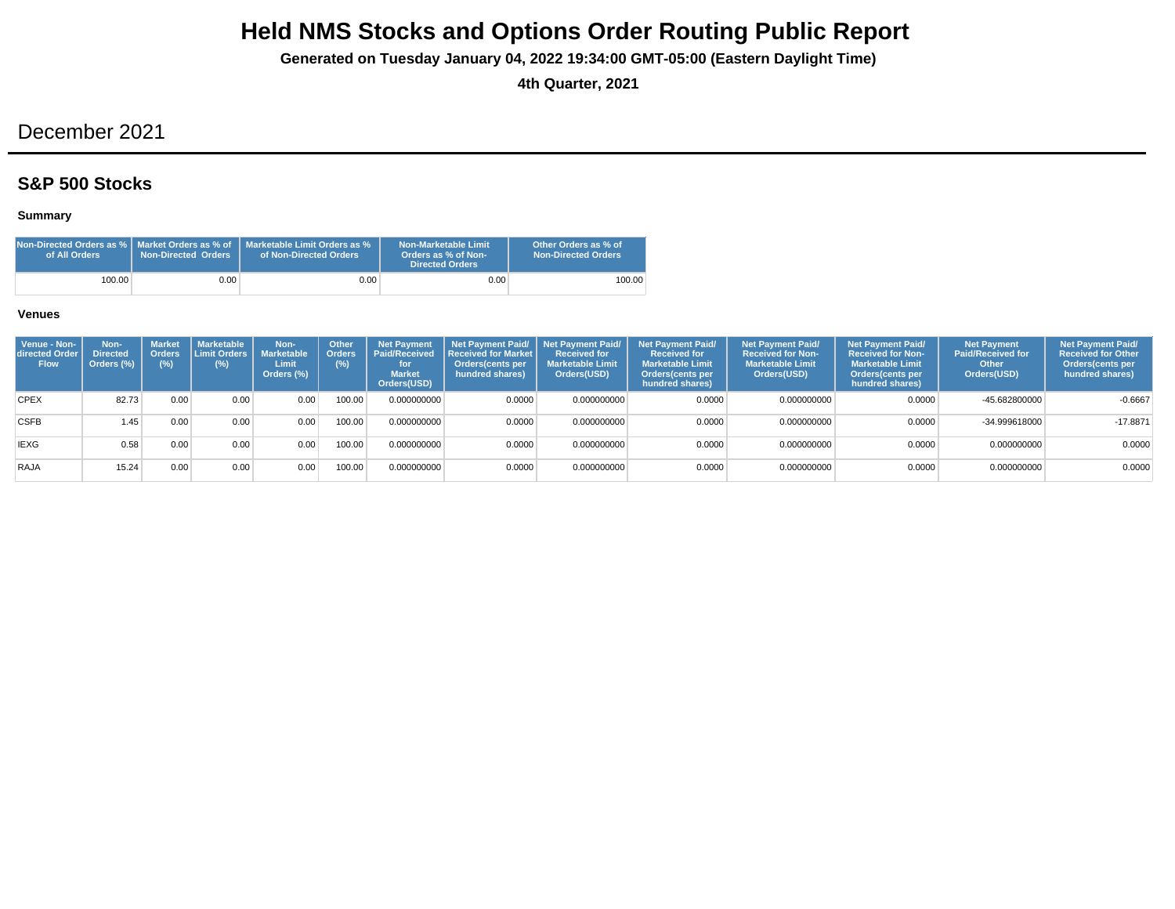**Generated on Tuesday January 04, 2022 19:34:00 GMT-05:00 (Eastern Daylight Time)**

**4th Quarter, 2021**

## December 2021

## **S&P 500 Stocks**

### **Summary**

| Non-Directed Orders as $\%$ $\mathsf I$ Market Orders as $\%$ of $\mathsf I$<br>of All Orders | <b>Non-Directed Orders</b> | Marketable Limit Orders as %<br>of Non-Directed Orders | Non-Marketable Limit<br>Orders as % of Non-<br><b>Directed Orders</b> | Other Orders as % of<br><b>Non-Directed Orders</b> |
|-----------------------------------------------------------------------------------------------|----------------------------|--------------------------------------------------------|-----------------------------------------------------------------------|----------------------------------------------------|
| 100.00                                                                                        | 0.00                       | 0.00                                                   | 0.00                                                                  | 100.00                                             |

| Venue - Non-<br>directed Order<br><b>Flow</b> | Non-<br><b>Directed</b><br>Orders (%) | <b>Market</b><br><b>Orders</b><br>$(\%)$ | <b>Marketable</b><br>Limit Orders L<br>(%) | Non-<br><b>Marketable</b><br>Limit<br>Orders (%) | <b>Other</b><br><b>Orders</b><br>(% ) | <b>Net Payment</b><br><b>Paid/Received</b><br>for<br><b>Market</b><br>Orders(USD) | Net Payment Paid/ Net Payment Paid/<br>Received for Market<br>Orders(cents per<br>hundred shares) | <b>Received for</b><br><b>Marketable Limit</b><br>Orders(USD) | <b>Net Payment Paid/</b><br><b>Received for</b><br><b>Marketable Limit</b><br>Orders(cents per<br>hundred shares) | Net Payment Paid/<br><b>Received for Non-</b><br><b>Marketable Limit</b><br>Orders(USD) | <b>Net Payment Paid/</b><br><b>Received for Non-</b><br><b>Marketable Limit</b><br>Orders(cents per<br>hundred shares) | <b>Net Payment</b><br><b>Paid/Received for</b><br><b>Other</b><br>Orders(USD) | <b>Net Payment Paid/</b><br><b>Received for Other</b><br>Orders(cents per<br>hundred shares) |
|-----------------------------------------------|---------------------------------------|------------------------------------------|--------------------------------------------|--------------------------------------------------|---------------------------------------|-----------------------------------------------------------------------------------|---------------------------------------------------------------------------------------------------|---------------------------------------------------------------|-------------------------------------------------------------------------------------------------------------------|-----------------------------------------------------------------------------------------|------------------------------------------------------------------------------------------------------------------------|-------------------------------------------------------------------------------|----------------------------------------------------------------------------------------------|
| <b>CPEX</b>                                   | 82.73                                 | 0.00                                     | 0.00                                       | 0.00                                             | 100.00                                | 0.000000000                                                                       | 0.0000                                                                                            | 0.000000000                                                   | 0.0000                                                                                                            | 0.000000000                                                                             | 0.0000                                                                                                                 | -45.682800000                                                                 | $-0.6667$                                                                                    |
| <b>CSFB</b>                                   | 1.45                                  | 0.00                                     | 0.00                                       | 0.00                                             | 100.00                                | 0.000000000                                                                       | 0.0000                                                                                            | 0.000000000                                                   | 0.0000                                                                                                            | 0.000000000                                                                             | 0.0000                                                                                                                 | -34.999618000                                                                 | $-17.8871$                                                                                   |
| <b>IEXG</b>                                   | 0.58                                  | 0.00                                     | 0.00                                       | 0.00                                             | 100.00                                | 0.000000000                                                                       | 0.0000                                                                                            | 0.000000000                                                   | 0.0000                                                                                                            | 0.000000000                                                                             | 0.0000                                                                                                                 | 0.000000000                                                                   | 0.0000                                                                                       |
| RAJA                                          | 15.24                                 | 0.00                                     | 0.00                                       | 0.00                                             | 00.00                                 | 0.000000000                                                                       | 0.0000                                                                                            | 0.000000000                                                   | 0.0000                                                                                                            | 0.000000000                                                                             | 0.0000                                                                                                                 | 0.000000000                                                                   | 0.0000                                                                                       |